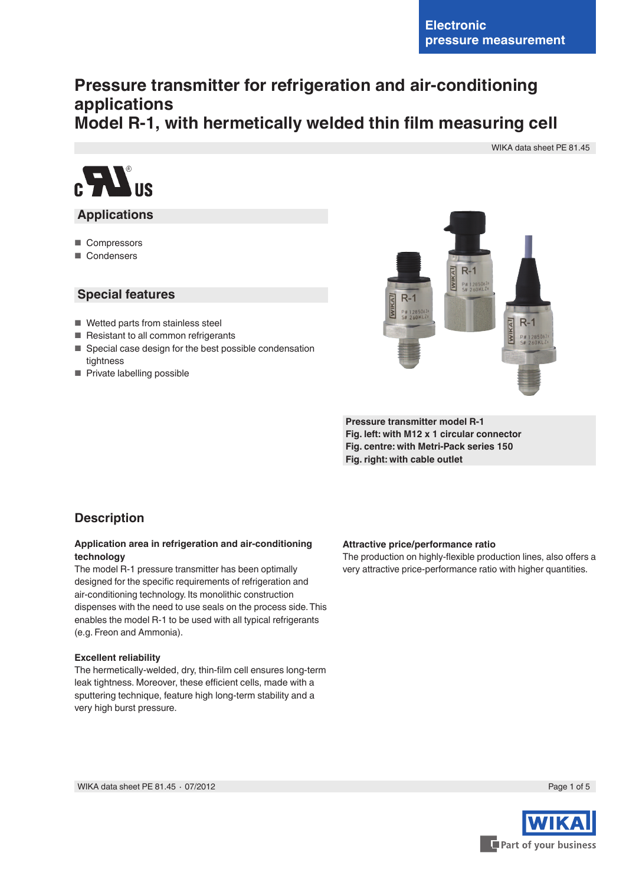# **Pressure transmitter for refrigeration and air-conditioning applications Model R-1, with hermetically welded thin film measuring cell**

WIKA data sheet PE 81.45



### **Applications**

- Compressors
- Condensers

#### **Special features**

- Wetted parts from stainless steel
- Resistant to all common refrigerants
- Special case design for the best possible condensation tightness
- Private labelling possible



**Pressure transmitter model R-1 Fig. left: with M12 x 1 circular connector Fig. centre: with Metri-Pack series 150 Fig. right: with cable outlet**

### **Description**

#### **Application area in refrigeration and air-conditioning technology**

The model R-1 pressure transmitter has been optimally designed for the specific requirements of refrigeration and air-conditioning technology. Its monolithic construction dispenses with the need to use seals on the process side. This enables the model R-1 to be used with all typical refrigerants (e.g. Freon and Ammonia).

#### **Excellent reliability**

The hermetically-welded, dry, thin-film cell ensures long-term leak tightness. Moreover, these efficient cells, made with a sputtering technique, feature high long-term stability and a very high burst pressure.

#### **Attractive price/performance ratio**

The production on highly-flexible production lines, also offers a very attractive price-performance ratio with higher quantities.



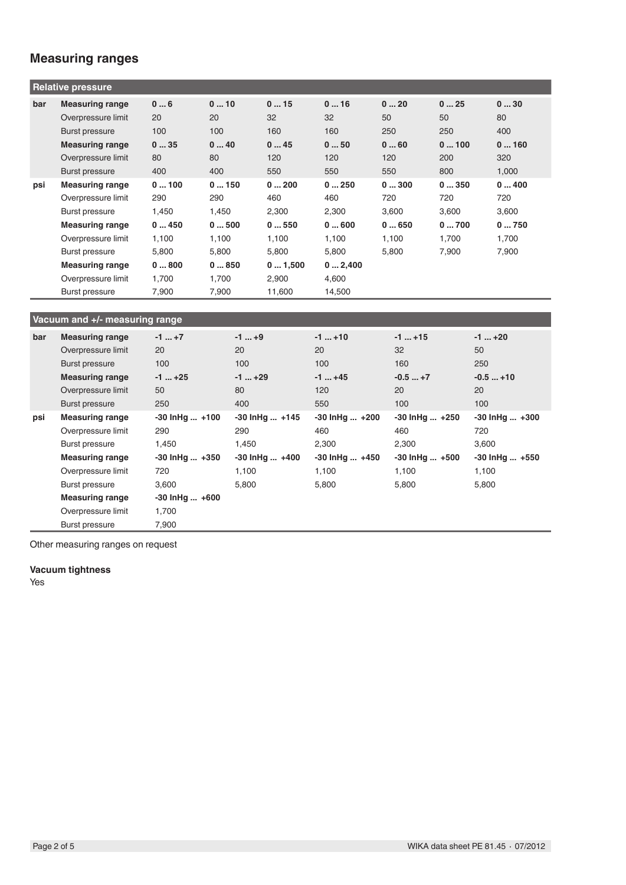## **Measuring ranges**

| <b>Relative pressure</b> |                        |       |       |        |        |       |       |       |
|--------------------------|------------------------|-------|-------|--------|--------|-------|-------|-------|
| bar                      | <b>Measuring range</b> | 06    | 010   | 015    | 016    | 020   | 025   | 030   |
|                          | Overpressure limit     | 20    | 20    | 32     | 32     | 50    | 50    | 80    |
|                          | Burst pressure         | 100   | 100   | 160    | 160    | 250   | 250   | 400   |
|                          | <b>Measuring range</b> | 035   | 040   | 045    | 050    | 060   | 0100  | 0160  |
|                          | Overpressure limit     | 80    | 80    | 120    | 120    | 120   | 200   | 320   |
|                          | Burst pressure         | 400   | 400   | 550    | 550    | 550   | 800   | 1,000 |
| psi                      | <b>Measuring range</b> | 0100  | 0150  | 0200   | 0250   | 0300  | 0350  | 0400  |
|                          | Overpressure limit     | 290   | 290   | 460    | 460    | 720   | 720   | 720   |
|                          | Burst pressure         | 1,450 | 1,450 | 2,300  | 2,300  | 3,600 | 3,600 | 3,600 |
|                          | <b>Measuring range</b> | 0450  | 0500  | 0550   | 0600   | 0650  | 0700  | 0750  |
|                          | Overpressure limit     | 1,100 | 1,100 | 1,100  | 1,100  | 1,100 | 1,700 | 1,700 |
|                          | Burst pressure         | 5,800 | 5,800 | 5,800  | 5,800  | 5,800 | 7,900 | 7,900 |
|                          | <b>Measuring range</b> | 0800  | 0850  | 01,500 | 02,400 |       |       |       |
|                          | Overpressure limit     | 1,700 | 1,700 | 2,900  | 4,600  |       |       |       |
|                          | Burst pressure         | 7,900 | 7,900 | 11,600 | 14,500 |       |       |       |

## **Vacuum and +/- measuring range**

| bar | <b>Measuring range</b> | $-1$ $+7$            | $-1$ +9            | $-1$ +10           | $-1+15$            | $-1$ $+20$         |
|-----|------------------------|----------------------|--------------------|--------------------|--------------------|--------------------|
|     | Overpressure limit     | 20                   | 20                 | 20                 | 32                 | 50                 |
|     | Burst pressure         | 100                  | 100                | 100                | 160                | 250                |
|     | <b>Measuring range</b> | $-1$ +25             | $-1$ $+29$         | $-1$ +45           | $-0.5+7$           | $-0.5+10$          |
|     | Overpressure limit     | 50                   | 80                 | 120                | 20                 | 20                 |
|     | <b>Burst pressure</b>  | 250                  | 400                | 550                | 100                | 100                |
| psi | <b>Measuring range</b> | $-30$ lnHg $$ +100   | $-30$ lnHg $$ +145 | -30 InHg  +200     | $-30$ lnHg $$ +250 | $-30$ lnHg $ +300$ |
|     | Overpressure limit     | 290                  | 290                | 460                | 460                | 720                |
|     | Burst pressure         | 1.450                | 1,450              | 2,300              | 2,300              | 3,600              |
|     | <b>Measuring range</b> | $-30$ lnHg $$ $+350$ | $-30$ lnHg $$ +400 | $-30$ lnHg $$ +450 | $-30$ lnHg $ +500$ | $-30$ lnHg $ +550$ |
|     | Overpressure limit     | 720                  | 1,100              | 1,100              | 1,100              | 1,100              |
|     | <b>Burst pressure</b>  | 3,600                | 5,800              | 5,800              | 5,800              | 5,800              |
|     | <b>Measuring range</b> | $-30$ lnHg $ +600$   |                    |                    |                    |                    |
|     | Overpressure limit     | 1.700                |                    |                    |                    |                    |
|     | Burst pressure         | 7,900                |                    |                    |                    |                    |

Other measuring ranges on request

#### **Vacuum tightness**

Yes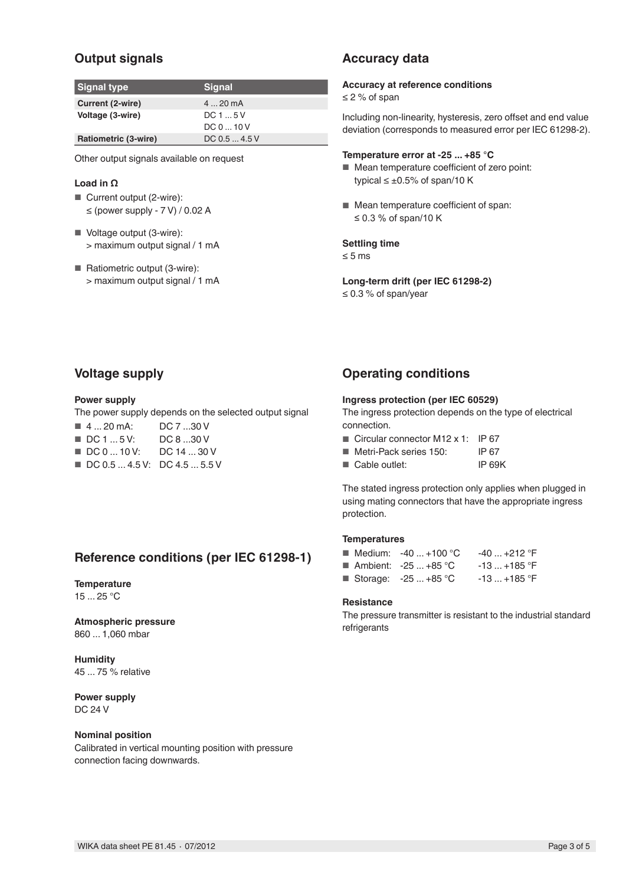## **Output signals**

| Signal type          | <b>Signal</b> |
|----------------------|---------------|
| Current (2-wire)     | $420$ mA      |
| Voltage (3-wire)     | DC15V         |
|                      | DC010V        |
| Ratiometric (3-wire) | DC 0.5  4.5 V |

Other output signals available on request

#### **Load in Ω**

- Current output (2-wire):  $\leq$  (power supply - 7 V) / 0.02 A
- Voltage output (3-wire): > maximum output signal / 1 mA
- Ratiometric output (3-wire): > maximum output signal / 1 mA

## **Accuracy data**

#### **Accuracy at reference conditions**

≤ 2 % of span

Including non-linearity, hysteresis, zero offset and end value deviation (corresponds to measured error per IEC 61298-2).

#### **Temperature error at -25 ... +85 °C**

- Mean temperature coefficient of zero point: typical  $\leq \pm 0.5\%$  of span/10 K
- Mean temperature coefficient of span: ≤ 0.3 % of span/10 K

#### **Settling time**

≤ 5 ms

**Long-term drift (per IEC 61298-2)** ≤ 0.3 % of span/year

### **Voltage supply**

#### **Power supply**

The power supply depends on the selected output signal

- 4 ... 20 mA: DC 7 ...30 V
- DC 1 ... 5 V: DC 8 ...30 V
- DC 0 ... 10 V: DC 14 ... 30 V
- DC 0.5 ... 4.5 V: DC 4.5 ... 5.5 V

## **Reference conditions (per IEC 61298-1)**

#### **Temperature**

15 ... 25 °C

**Atmospheric pressure** 860 ... 1,060 mbar

**Humidity** 45 ... 75 % relative

**Power supply** DC 24 V

#### **Nominal position**

Calibrated in vertical mounting position with pressure connection facing downwards.

### **Operating conditions**

#### **Ingress protection (per IEC 60529)**

The ingress protection depends on the type of electrical connection.

- Circular connector M12 x 1: IP 67
- Metri-Pack series 150: IP 67
- Cable outlet: IP 69K

The stated ingress protection only applies when plugged in using mating connectors that have the appropriate ingress protection.

#### **Temperatures**

| ■ Medium: $-40+100 °C$ | $-40+212$ °F |
|------------------------|--------------|
| ■ Ambient: $-25+85$ °C | $-13+185$ °F |
| Storage: $-25+85$ °C   | $-13+185$ °F |

#### **Resistance**

The pressure transmitter is resistant to the industrial standard refrigerants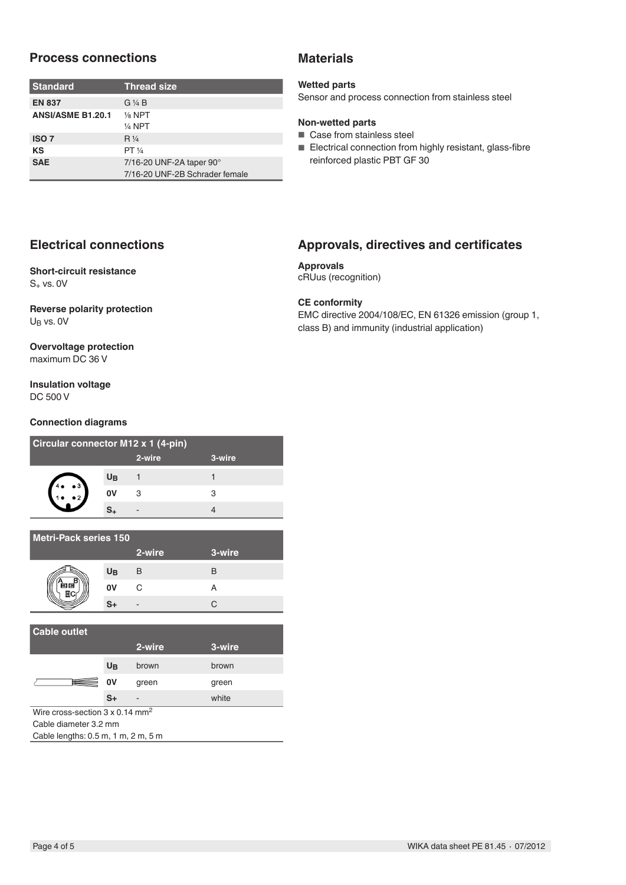### **Process connections**

| <b>Standard</b>          | <b>Thread size</b>             |
|--------------------------|--------------------------------|
| <b>EN 837</b>            | $G\mathrel{\vee} A B$          |
| <b>ANSI/ASME B1.20.1</b> | $\frac{1}{8}$ NPT<br>$1/4$ NPT |
| <b>ISO 7</b>             | $R\frac{1}{4}$                 |
| KS                       | PT 1/4                         |
| <b>SAE</b>               | 7/16-20 UNF-2A taper 90°       |
|                          | 7/16-20 UNF-2B Schrader female |

## **Electrical connections**

#### **Short-circuit resistance**  $S_+$  vs. 0V

#### **Reverse polarity protection** UB vs. 0V

#### **Overvoltage protection** maximum DC 36 V

#### **Insulation voltage** DC 500 V

#### **Connection diagrams**

| Circular connector M12 x 1 (4-pin) |                |        |        |  |  |
|------------------------------------|----------------|--------|--------|--|--|
|                                    |                | 2-wire | 3-wire |  |  |
| $\bullet 3$                        | U <sub>B</sub> |        |        |  |  |
|                                    | 0V             | З      | з      |  |  |
|                                    |                |        |        |  |  |

| Metri-Pack series 150 |                |        |        |  |  |
|-----------------------|----------------|--------|--------|--|--|
|                       |                | 2-wire | 3-wire |  |  |
|                       | U <sub>B</sub> | B      | B      |  |  |
| 飼属                    | 0V             | C      |        |  |  |
|                       | S+             |        |        |  |  |

| <b>Cable outlet</b>                                                                                 |                |        |        |  |  |
|-----------------------------------------------------------------------------------------------------|----------------|--------|--------|--|--|
|                                                                                                     |                | 2-wire | 3-wire |  |  |
|                                                                                                     | U <sub>B</sub> | brown  | brown  |  |  |
| 囲                                                                                                   | 0V             | green  | green  |  |  |
|                                                                                                     | $S+$           |        | white  |  |  |
| Wire cross-section $3 \times 0.14$ mm <sup>2</sup>                                                  |                |        |        |  |  |
| Cable diameter 3.2 mm                                                                               |                |        |        |  |  |
| $C2$ $C2$ $C1$ $C2$ $C3$ $C4$ $C5$ $C6$ $C7$ $C8$ $C9$ $C9$ $C9$ $C9$ $C9$ $C9$ $C9$ $C9$ $C9$ $C9$ |                |        |        |  |  |

Cable lengths: 0.5 m, 1 m, 2 m, 5 m

## **Materials**

#### **Wetted parts**

Sensor and process connection from stainless steel

### **Non-wetted parts**

- Case from stainless steel
- Electrical connection from highly resistant, glass-fibre reinforced plastic PBT GF 30

## **Approvals, directives and certificates**

**Approvals** cRUus (recognition)

### **CE conformity**

EMC directive 2004/108/EC, EN 61326 emission (group 1, class B) and immunity (industrial application)